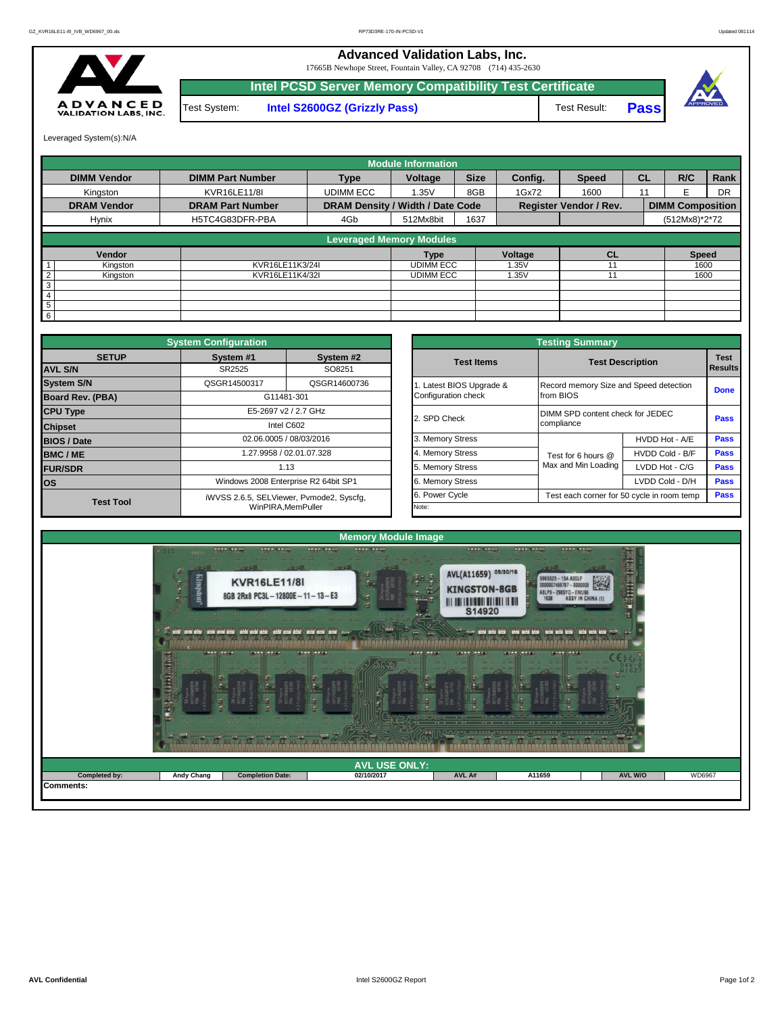## **Advanced Validation Labs, Inc.**

17665B Newhope Street, Fountain Valley, CA 92708 (714) 435-2630



Test System: **Intel S2600GZ (Grizzly Pass)** Test Result: **Pass Intel PCSD Server Memory Compatibility Test Certificate**



Leveraged System(s):N/A

|                    | <b>Module Information</b>       |                                  |                  |             |         |                               |           |                         |           |  |  |  |  |
|--------------------|---------------------------------|----------------------------------|------------------|-------------|---------|-------------------------------|-----------|-------------------------|-----------|--|--|--|--|
| <b>DIMM Vendor</b> | <b>DIMM Part Number</b>         | <b>Type</b>                      | Voltage          | <b>Size</b> | Config. | <b>Speed</b>                  | <b>CL</b> | R/C                     | Rank      |  |  |  |  |
| Kingston           | KVR16LE11/8I                    | <b>UDIMM ECC</b>                 | 1.35V            | 8GB         | 1Gx72   | 1600                          | 11        | F                       | <b>DR</b> |  |  |  |  |
| <b>DRAM Vendor</b> | <b>DRAM Part Number</b>         | DRAM Density / Width / Date Code |                  |             |         | <b>Register Vendor / Rev.</b> |           | <b>DIMM Composition</b> |           |  |  |  |  |
| Hynix              | H5TC4G83DFR-PBA                 | 4Gb                              | 512Mx8bit        | 1637        |         |                               |           | (512Mx8)*2*72           |           |  |  |  |  |
|                    | <b>Leveraged Memory Modules</b> |                                  |                  |             |         |                               |           |                         |           |  |  |  |  |
| Vendor             |                                 |                                  | <b>Type</b>      |             | Voltage | CL                            |           | <b>Speed</b>            |           |  |  |  |  |
| Kingston           | KVR16LE11K3/24I                 |                                  | <b>UDIMM ECC</b> |             | 1.35V   |                               |           | 1600                    |           |  |  |  |  |
| Kingston           | KVR16LE11K4/32I                 |                                  | <b>UDIMM ECC</b> |             | 1.35V   | 11                            |           | 1600                    |           |  |  |  |  |
| 3                  |                                 |                                  |                  |             |         |                               |           |                         |           |  |  |  |  |
| 4                  |                                 |                                  |                  |             |         |                               |           |                         |           |  |  |  |  |
| 5                  |                                 |                                  |                  |             |         |                               |           |                         |           |  |  |  |  |
| 6                  |                                 |                                  |                  |             |         |                               |           |                         |           |  |  |  |  |

|                                | <b>System Configuration</b> |                                          |                       | <b>Testing Summary</b>                 |                                            |                        |  |  |  |  |
|--------------------------------|-----------------------------|------------------------------------------|-----------------------|----------------------------------------|--------------------------------------------|------------------------|--|--|--|--|
| <b>SETUP</b><br><b>AVL S/N</b> | System #1<br>SR2525         | System #2<br>SO8251                      | <b>Test Items</b>     |                                        | <b>Test Description</b>                    | <b>Test</b><br>Results |  |  |  |  |
| <b>System S/N</b>              | QSGR14500317                | QSGR14600736                             | Latest BIOS Upgrade & | Record memory Size and Speed detection |                                            |                        |  |  |  |  |
| <b>Board Rev. (PBA)</b>        |                             | G11481-301                               | Configuration check   | from BIOS                              |                                            | <b>Done</b>            |  |  |  |  |
| <b>CPU Type</b>                |                             | E5-2697 v2 / 2.7 GHz                     | 2. SPD Check          | DIMM SPD content check for JEDEC       |                                            | Pass                   |  |  |  |  |
| <b>Chipset</b>                 |                             | Intel C602                               |                       | compliance                             |                                            |                        |  |  |  |  |
| <b>BIOS / Date</b>             |                             | 02.06.0005 / 08/03/2016                  | 3. Memory Stress      |                                        | HVDD Hot - A/E                             | Pass                   |  |  |  |  |
| <b>BMC/ME</b>                  |                             | 1.27.9958 / 02.01.07.328                 | 4. Memory Stress      | Test for 6 hours @                     | HVDD Cold - B/F                            | <b>Pass</b>            |  |  |  |  |
| <b>FUR/SDR</b>                 |                             | 1.13                                     | 5. Memory Stress      | Max and Min Loading                    | LVDD Hot - C/G                             | <b>Pass</b>            |  |  |  |  |
| <b>los</b>                     |                             | Windows 2008 Enterprise R2 64bit SP1     | 6. Memory Stress      |                                        | LVDD Cold - D/H                            | Pass                   |  |  |  |  |
| <b>Test Tool</b>               |                             | iWVSS 2.6.5, SELViewer, Pvmode2, Syscfq, | 6. Power Cycle        |                                        | Test each corner for 50 cycle in room temp | <b>Pass</b>            |  |  |  |  |
|                                |                             | WinPIRA.MemPuller                        | Note:                 |                                        |                                            |                        |  |  |  |  |

| nfiguration                          |                                        |                          | <b>Testing Summary</b>                 |                                            |                               |  |  |  |  |  |  |
|--------------------------------------|----------------------------------------|--------------------------|----------------------------------------|--------------------------------------------|-------------------------------|--|--|--|--|--|--|
| ivstem #1                            | System #2                              | <b>Test Items</b>        | <b>Test Description</b>                |                                            | <b>Test</b><br><b>Results</b> |  |  |  |  |  |  |
| SR2525                               | SO8251                                 |                          |                                        |                                            |                               |  |  |  |  |  |  |
| GR14500317                           | QSGR14600736                           | 1. Latest BIOS Upgrade & | Record memory Size and Speed detection |                                            | <b>Done</b>                   |  |  |  |  |  |  |
| G11481-301                           |                                        | Configuration check      | from BIOS                              |                                            |                               |  |  |  |  |  |  |
| E5-2697 v2 / 2.7 GHz                 |                                        | 2. SPD Check             | DIMM SPD content check for JEDEC       | Pass                                       |                               |  |  |  |  |  |  |
|                                      | Intel C602                             |                          | compliance                             |                                            |                               |  |  |  |  |  |  |
|                                      | 02.06.0005 / 08/03/2016                | 3. Memory Stress         |                                        | HVDD Hot - A/E                             | Pass                          |  |  |  |  |  |  |
|                                      | 1.27.9958 / 02.01.07.328               | 4. Memory Stress         | Test for 6 hours @                     | HVDD Cold - B/F                            | Pass                          |  |  |  |  |  |  |
|                                      | 1.13                                   | 5. Memory Stress         | Max and Min Loading                    | LVDD Hot - C/G                             | Pass                          |  |  |  |  |  |  |
| Windows 2008 Enterprise R2 64bit SP1 |                                        | 6. Memory Stress         |                                        | LVDD Cold - D/H                            | Pass                          |  |  |  |  |  |  |
|                                      | VSS 2.6.5, SELViewer, Pvmode2, Syscfq, | 6. Power Cycle           |                                        | Test each corner for 50 cycle in room temp |                               |  |  |  |  |  |  |
|                                      | WinPIRA.MemPuller                      | Note:                    |                                        |                                            |                               |  |  |  |  |  |  |